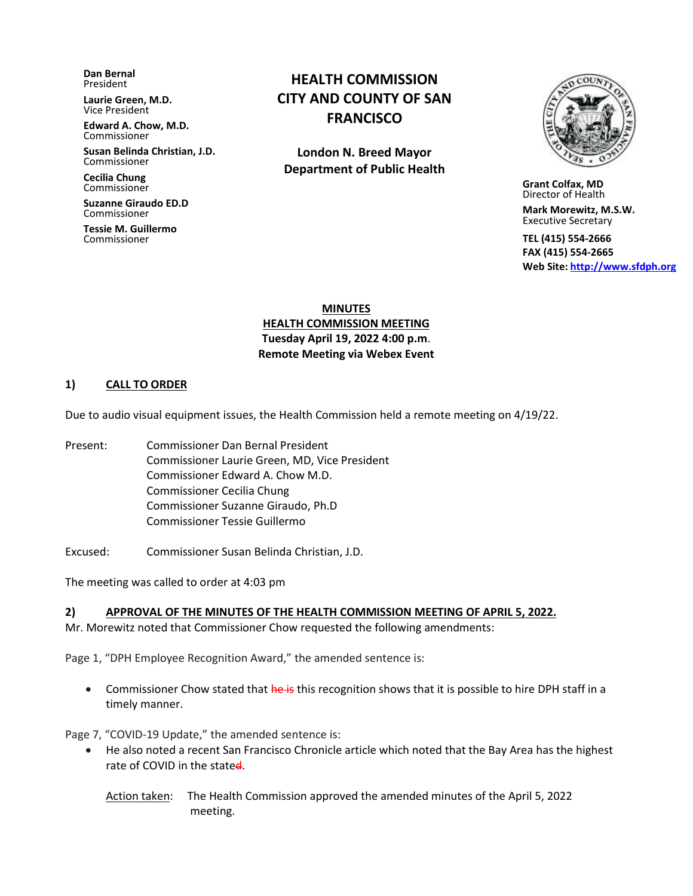**Dan Bernal** President

**Laurie Green, M.D.** Vice President

**Edward A. Chow, M.D.** Commissioner

**Susan Belinda Christian, J.D.** Commissioner

**Cecilia Chung**  Commissioner

**Suzanne Giraudo ED.D** Commissioner

**Tessie M. Guillermo** Commissioner

# **HEALTH COMMISSION CITY AND COUNTY OF SAN FRANCISCO**

**London N. Breed Mayor Department of Public Health**



 **Grant Colfax, MD**  Director of Health

 **Mark Morewitz, M.S.W.**  Executive Secretary

 **TEL (415) 554-2666 FAX (415) 554-2665 Web Site: [http://www.sfdph.org](http://www.sfdph.org/)**

**MINUTES HEALTH COMMISSION MEETING Tuesday April 19, 2022 4:00 p.m**. **Remote Meeting via Webex Event**

#### **1) CALL TO ORDER**

Due to audio visual equipment issues, the Health Commission held a remote meeting on 4/19/22.

- Present: Commissioner Dan Bernal President Commissioner Laurie Green, MD, Vice President Commissioner Edward A. Chow M.D. Commissioner Cecilia Chung Commissioner Suzanne Giraudo, Ph.D Commissioner Tessie Guillermo
- Excused:Commissioner Susan Belinda Christian, J.D.

The meeting was called to order at 4:03 pm

#### **2) APPROVAL OF THE MINUTES OF THE HEALTH COMMISSION MEETING OF APRIL 5, 2022.**

Mr. Morewitz noted that Commissioner Chow requested the following amendments:

Page 1, "DPH Employee Recognition Award," the amended sentence is:

• Commissioner Chow stated that he is this recognition shows that it is possible to hire DPH staff in a timely manner.

Page 7, "COVID-19 Update," the amended sentence is:

• He also noted a recent San Francisco Chronicle article which noted that the Bay Area has the highest rate of COVID in the stated.

Action taken: The Health Commission approved the amended minutes of the April 5, 2022 meeting.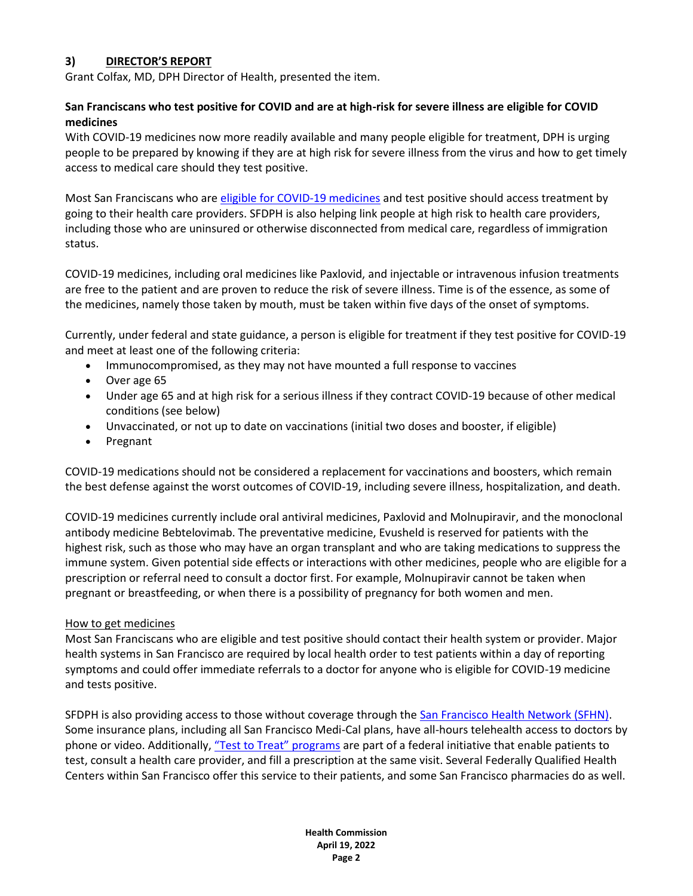### **3) DIRECTOR'S REPORT**

Grant Colfax, MD, DPH Director of Health, presented the item.

### **San Franciscans who test positive for COVID and are at high-risk for severe illness are eligible for COVID medicines**

With COVID-19 medicines now more readily available and many people eligible for treatment, DPH is urging people to be prepared by knowing if they are at high risk for severe illness from the virus and how to get timely access to medical care should they test positive.

Most San Franciscans who are [eligible for COVID-19 medicines](https://sf.gov/get-treated-covid-19) and test positive should access treatment by going to their health care providers. SFDPH is also helping link people at high risk to health care providers, including those who are uninsured or otherwise disconnected from medical care, regardless of immigration status.

COVID-19 medicines, including oral medicines like Paxlovid, and injectable or intravenous infusion treatments are free to the patient and are proven to reduce the risk of severe illness. Time is of the essence, as some of the medicines, namely those taken by mouth, must be taken within five days of the onset of symptoms.

Currently, under federal and state guidance, a person is eligible for treatment if they test positive for COVID-19 and meet at least one of the following criteria:

- Immunocompromised, as they may not have mounted a full response to vaccines
- Over age 65
- Under age 65 and at high risk for a serious illness if they contract COVID-19 because of other medical conditions (see below)
- Unvaccinated, or not up to date on vaccinations (initial two doses and booster, if eligible)
- Pregnant

COVID-19 medications should not be considered a replacement for vaccinations and boosters, which remain the best defense against the worst outcomes of COVID-19, including severe illness, hospitalization, and death.

COVID-19 medicines currently include oral antiviral medicines, Paxlovid and Molnupiravir, and the monoclonal antibody medicine Bebtelovimab. The preventative medicine, Evusheld is reserved for patients with the highest risk, such as those who may have an organ transplant and who are taking medications to suppress the immune system. Given potential side effects or interactions with other medicines, people who are eligible for a prescription or referral need to consult a doctor first. For example, Molnupiravir cannot be taken when pregnant or breastfeeding, or when there is a possibility of pregnancy for both women and men.

### How to get medicines

Most San Franciscans who are eligible and test positive should contact their health system or provider. Major health systems in San Francisco are required by local health order to test patients within a day of reporting symptoms and could offer immediate referrals to a doctor for anyone who is eligible for COVID-19 medicine and tests positive.

SFDPH is also providing access to those without coverage through the [San Francisco Health Network \(SFHN\).](https://sfhealthnetwork.org/) Some insurance plans, including all San Francisco Medi-Cal plans, have all-hours telehealth access to doctors by phone or video. Additionally, ["Test to Treat" programs](https://www.cdph.ca.gov/Programs/CID/DCDC/Pages/COVID-19/Test-to-treat-locations.aspx) are part of a federal initiative that enable patients to test, consult a health care provider, and fill a prescription at the same visit. Several Federally Qualified Health Centers within San Francisco offer this service to their patients, and some San Francisco pharmacies do as well.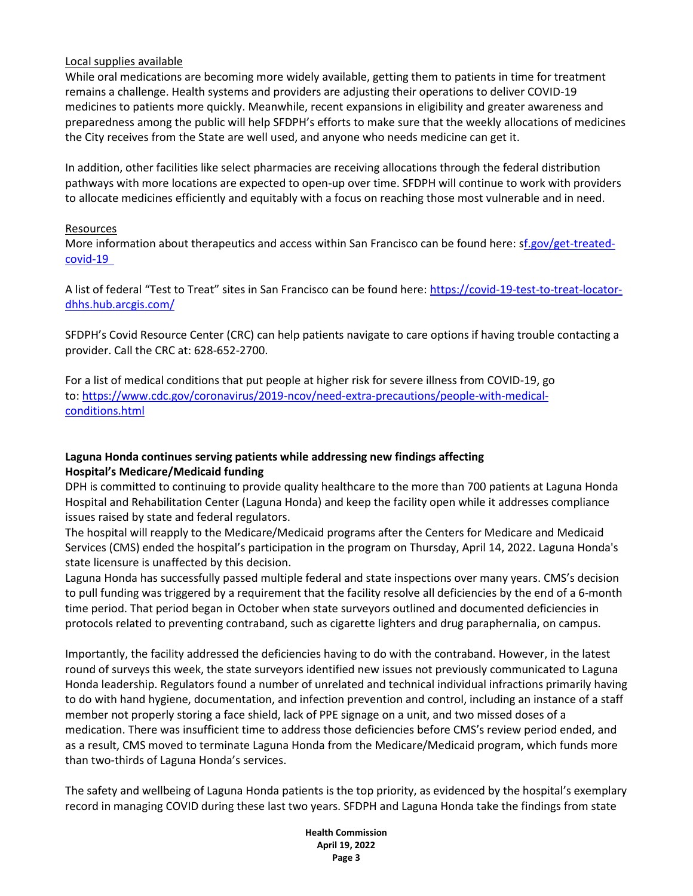### Local supplies available

While oral medications are becoming more widely available, getting them to patients in time for treatment remains a challenge. Health systems and providers are adjusting their operations to deliver COVID-19 medicines to patients more quickly. Meanwhile, recent expansions in eligibility and greater awareness and preparedness among the public will help SFDPH's efforts to make sure that the weekly allocations of medicines the City receives from the State are well used, and anyone who needs medicine can get it.

In addition, other facilities like select pharmacies are receiving allocations through the federal distribution pathways with more locations are expected to open-up over time. SFDPH will continue to work with providers to allocate medicines efficiently and equitably with a focus on reaching those most vulnerable and in need.

### Resources

More information about therapeutics and access within San Francisco can be found here: [sf.gov/get-treated](https://sf.gov/get-treated-covid-19)[covid-19](https://sf.gov/get-treated-covid-19) 

A list of federal "Test to Treat" sites in San Francisco can be found here: [https://covid-19-test-to-treat-locator](https://covid-19-test-to-treat-locator-dhhs.hub.arcgis.com/)[dhhs.hub.arcgis.com/](https://covid-19-test-to-treat-locator-dhhs.hub.arcgis.com/)

SFDPH's Covid Resource Center (CRC) can help patients navigate to care options if having trouble contacting a provider. Call the CRC at: 628-652-2700.

For a list of medical conditions that put people at higher risk for severe illness from COVID-19, go to: [https://www.cdc.gov/coronavirus/2019-ncov/need-extra-precautions/people-with-medical](https://www.cdc.gov/coronavirus/2019-ncov/need-extra-precautions/people-with-medical-conditions.html)[conditions.html](https://www.cdc.gov/coronavirus/2019-ncov/need-extra-precautions/people-with-medical-conditions.html)

## **Laguna Honda continues serving patients while addressing new findings affecting Hospital's Medicare/Medicaid funding**

DPH is committed to continuing to provide quality healthcare to the more than 700 patients at Laguna Honda Hospital and Rehabilitation Center (Laguna Honda) and keep the facility open while it addresses compliance issues raised by state and federal regulators.

The hospital will reapply to the Medicare/Medicaid programs after the Centers for Medicare and Medicaid Services (CMS) ended the hospital's participation in the program on Thursday, April 14, 2022. Laguna Honda's state licensure is unaffected by this decision.

Laguna Honda has successfully passed multiple federal and state inspections over many years. CMS's decision to pull funding was triggered by a requirement that the facility resolve all deficiencies by the end of a 6-month time period. That period began in October when state surveyors outlined and documented deficiencies in protocols related to preventing contraband, such as cigarette lighters and drug paraphernalia, on campus.

Importantly, the facility addressed the deficiencies having to do with the contraband. However, in the latest round of surveys this week, the state surveyors identified new issues not previously communicated to Laguna Honda leadership. Regulators found a number of unrelated and technical individual infractions primarily having to do with hand hygiene, documentation, and infection prevention and control, including an instance of a staff member not properly storing a face shield, lack of PPE signage on a unit, and two missed doses of a medication. There was insufficient time to address those deficiencies before CMS's review period ended, and as a result, CMS moved to terminate Laguna Honda from the Medicare/Medicaid program, which funds more than two-thirds of Laguna Honda's services.

The safety and wellbeing of Laguna Honda patients is the top priority, as evidenced by the hospital's exemplary record in managing COVID during these last two years. SFDPH and Laguna Honda take the findings from state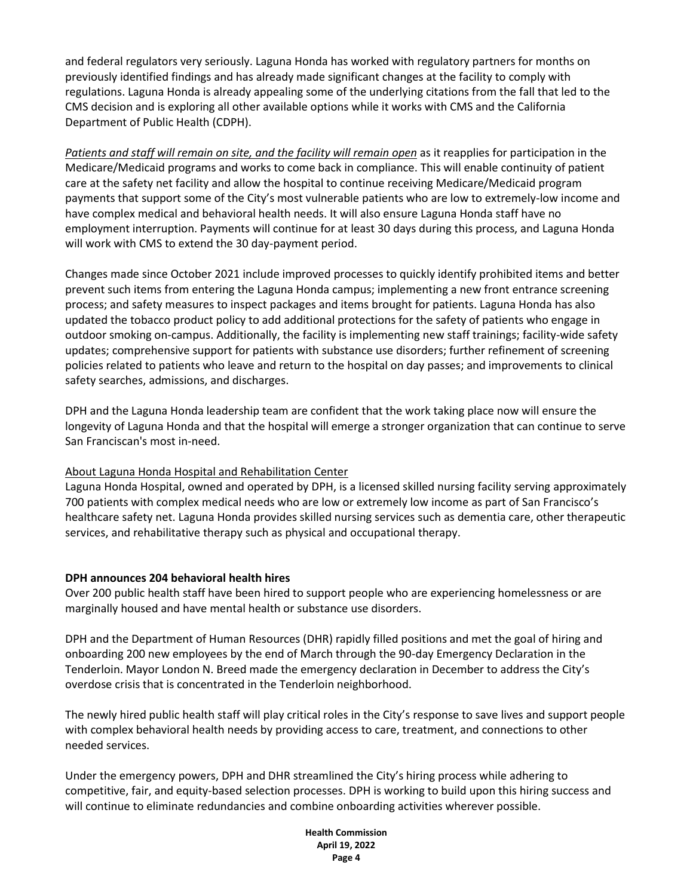and federal regulators very seriously. Laguna Honda has worked with regulatory partners for months on previously identified findings and has already made significant changes at the facility to comply with regulations. Laguna Honda is already appealing some of the underlying citations from the fall that led to the CMS decision and is exploring all other available options while it works with CMS and the California Department of Public Health (CDPH).

*Patients and staff will remain on site, and the facility will remain open* as it reapplies for participation in the Medicare/Medicaid programs and works to come back in compliance. This will enable continuity of patient care at the safety net facility and allow the hospital to continue receiving Medicare/Medicaid program payments that support some of the City's most vulnerable patients who are low to extremely-low income and have complex medical and behavioral health needs. It will also ensure Laguna Honda staff have no employment interruption. Payments will continue for at least 30 days during this process, and Laguna Honda will work with CMS to extend the 30 day-payment period.

Changes made since October 2021 include improved processes to quickly identify prohibited items and better prevent such items from entering the Laguna Honda campus; implementing a new front entrance screening process; and safety measures to inspect packages and items brought for patients. Laguna Honda has also updated the tobacco product policy to add additional protections for the safety of patients who engage in outdoor smoking on-campus. Additionally, the facility is implementing new staff trainings; facility-wide safety updates; comprehensive support for patients with substance use disorders; further refinement of screening policies related to patients who leave and return to the hospital on day passes; and improvements to clinical safety searches, admissions, and discharges.  

DPH and the Laguna Honda leadership team are confident that the work taking place now will ensure the longevity of Laguna Honda and that the hospital will emerge a stronger organization that can continue to serve San Franciscan's most in-need. 

### About Laguna Honda Hospital and Rehabilitation Center

Laguna Honda Hospital, owned and operated by DPH, is a licensed skilled nursing facility serving approximately 700 patients with complex medical needs who are low or extremely low income as part of San Francisco's healthcare safety net. Laguna Honda provides skilled nursing services such as dementia care, other therapeutic services, and rehabilitative therapy such as physical and occupational therapy.  

### **DPH announces 204 behavioral health hires**

Over 200 public health staff have been hired to support people who are experiencing homelessness or are marginally housed and have mental health or substance use disorders.

DPH and the Department of Human Resources (DHR) rapidly filled positions and met the goal of hiring and onboarding 200 new employees by the end of March through the 90-day Emergency Declaration in the Tenderloin. Mayor London N. Breed made the emergency declaration in December to address the City's overdose crisis that is concentrated in the Tenderloin neighborhood.

The newly hired public health staff will play critical roles in the City's response to save lives and support people with complex behavioral health needs by providing access to care, treatment, and connections to other needed services.

Under the emergency powers, DPH and DHR streamlined the City's hiring process while adhering to competitive, fair, and equity-based selection processes. DPH is working to build upon this hiring success and will continue to eliminate redundancies and combine onboarding activities wherever possible.

> **Health Commission April 19, 2022 Page 4**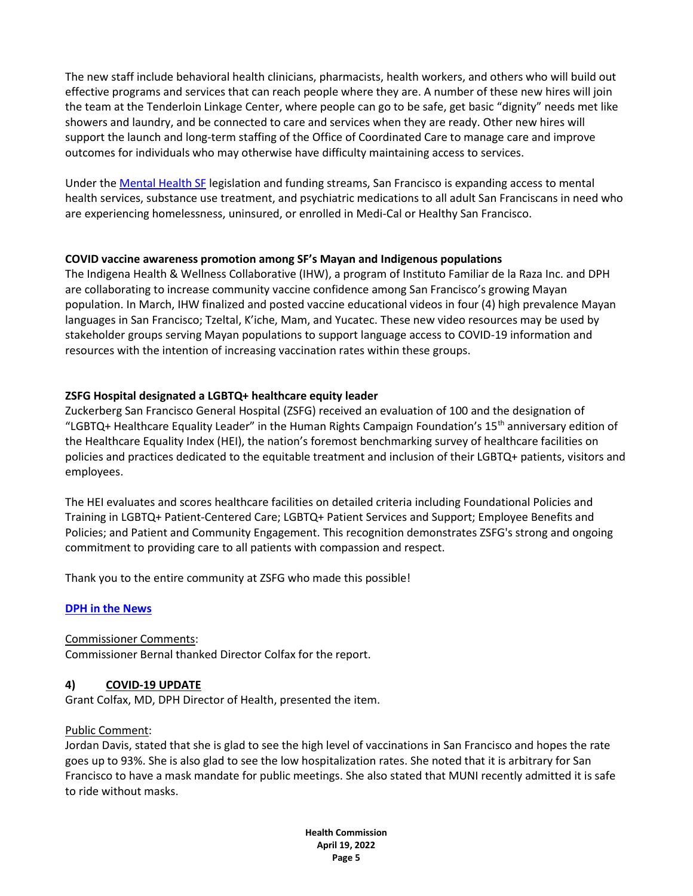The new staff include behavioral health clinicians, pharmacists, health workers, and others who will build out effective programs and services that can reach people where they are. A number of these new hires will join the team at the Tenderloin Linkage Center, where people can go to be safe, get basic "dignity" needs met like showers and laundry, and be connected to care and services when they are ready. Other new hires will support the launch and long-term staffing of the Office of Coordinated Care to manage care and improve outcomes for individuals who may otherwise have difficulty maintaining access to services.

Under the [Mental Health SF](https://sf.gov/information/mental-health-sf) legislation and funding streams, San Francisco is expanding access to mental health services, substance use treatment, and psychiatric medications to all adult San Franciscans in need who are experiencing homelessness, uninsured, or enrolled in Medi-Cal or Healthy San Francisco.

### **COVID vaccine awareness promotion among SF's Mayan and Indigenous populations**

The Indigena Health & Wellness Collaborative (IHW), a program of Instituto Familiar de la Raza Inc. and DPH are collaborating to increase community vaccine confidence among San Francisco's growing Mayan population. In March, IHW finalized and posted vaccine educational videos in four (4) high prevalence Mayan languages in San Francisco; Tzeltal, K'iche, Mam, and Yucatec. These new video resources may be used by stakeholder groups serving Mayan populations to support language access to COVID-19 information and resources with the intention of increasing vaccination rates within these groups.

### **ZSFG Hospital designated a LGBTQ+ healthcare equity leader**

Zuckerberg San Francisco General Hospital (ZSFG) received an evaluation of 100 and the designation of "LGBTQ+ Healthcare Equality Leader" in the Human Rights Campaign Foundation's  $15<sup>th</sup>$  anniversary edition of the Healthcare Equality Index (HEI), the nation's foremost benchmarking survey of healthcare facilities on policies and practices dedicated to the equitable treatment and inclusion of their LGBTQ+ patients, visitors and employees.

The HEI evaluates and scores healthcare facilities on detailed criteria including Foundational Policies and Training in LGBTQ+ Patient-Centered Care; LGBTQ+ Patient Services and Support; Employee Benefits and Policies; and Patient and Community Engagement. This recognition demonstrates ZSFG's strong and ongoing commitment to providing care to all patients with compassion and respect.

Thank you to the entire community at ZSFG who made this possible!

### **DPH [in the News](https://news.google.com/search?q=san%20francisco%20department%20of%20public%20health%20when%3A14d&hl=en-US&gl=US&ceid=US%3Aen)**

Commissioner Comments: Commissioner Bernal thanked Director Colfax for the report.

### **4) COVID-19 UPDATE**

Grant Colfax, MD, DPH Director of Health, presented the item.

### Public Comment:

Jordan Davis, stated that she is glad to see the high level of vaccinations in San Francisco and hopes the rate goes up to 93%. She is also glad to see the low hospitalization rates. She noted that it is arbitrary for San Francisco to have a mask mandate for public meetings. She also stated that MUNI recently admitted it is safe to ride without masks.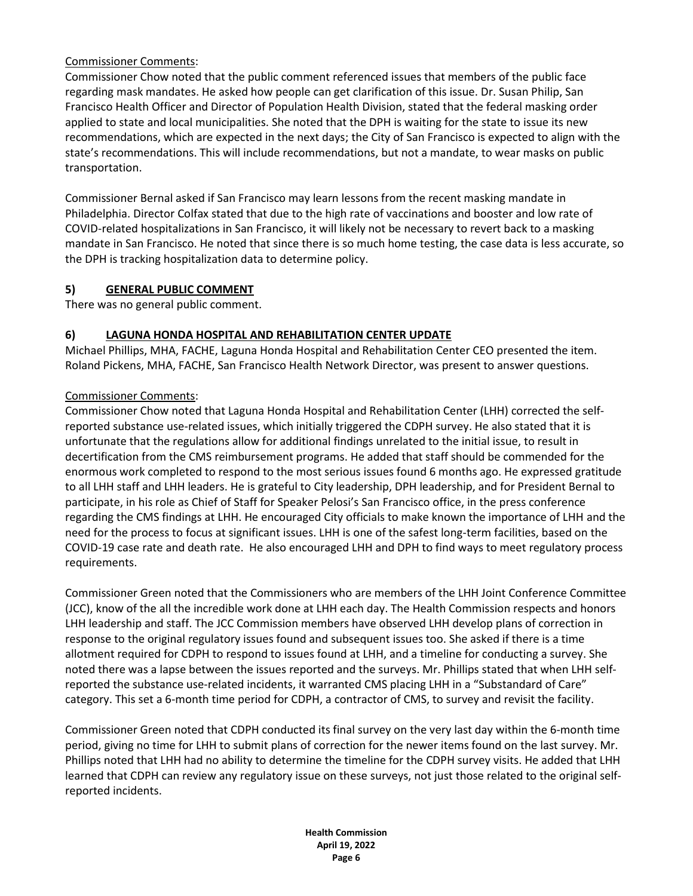### Commissioner Comments:

Commissioner Chow noted that the public comment referenced issues that members of the public face regarding mask mandates. He asked how people can get clarification of this issue. Dr. Susan Philip, San Francisco Health Officer and Director of Population Health Division, stated that the federal masking order applied to state and local municipalities. She noted that the DPH is waiting for the state to issue its new recommendations, which are expected in the next days; the City of San Francisco is expected to align with the state's recommendations. This will include recommendations, but not a mandate, to wear masks on public transportation.

Commissioner Bernal asked if San Francisco may learn lessons from the recent masking mandate in Philadelphia. Director Colfax stated that due to the high rate of vaccinations and booster and low rate of COVID-related hospitalizations in San Francisco, it will likely not be necessary to revert back to a masking mandate in San Francisco. He noted that since there is so much home testing, the case data is less accurate, so the DPH is tracking hospitalization data to determine policy.

### **5) GENERAL PUBLIC COMMENT**

There was no general public comment.

### **6) LAGUNA HONDA HOSPITAL AND REHABILITATION CENTER UPDATE**

Michael Phillips, MHA, FACHE, Laguna Honda Hospital and Rehabilitation Center CEO presented the item. Roland Pickens, MHA, FACHE, San Francisco Health Network Director, was present to answer questions.

### Commissioner Comments:

Commissioner Chow noted that Laguna Honda Hospital and Rehabilitation Center (LHH) corrected the selfreported substance use-related issues, which initially triggered the CDPH survey. He also stated that it is unfortunate that the regulations allow for additional findings unrelated to the initial issue, to result in decertification from the CMS reimbursement programs. He added that staff should be commended for the enormous work completed to respond to the most serious issues found 6 months ago. He expressed gratitude to all LHH staff and LHH leaders. He is grateful to City leadership, DPH leadership, and for President Bernal to participate, in his role as Chief of Staff for Speaker Pelosi's San Francisco office, in the press conference regarding the CMS findings at LHH. He encouraged City officials to make known the importance of LHH and the need for the process to focus at significant issues. LHH is one of the safest long-term facilities, based on the COVID-19 case rate and death rate. He also encouraged LHH and DPH to find ways to meet regulatory process requirements.

Commissioner Green noted that the Commissioners who are members of the LHH Joint Conference Committee (JCC), know of the all the incredible work done at LHH each day. The Health Commission respects and honors LHH leadership and staff. The JCC Commission members have observed LHH develop plans of correction in response to the original regulatory issues found and subsequent issues too. She asked if there is a time allotment required for CDPH to respond to issues found at LHH, and a timeline for conducting a survey. She noted there was a lapse between the issues reported and the surveys. Mr. Phillips stated that when LHH selfreported the substance use-related incidents, it warranted CMS placing LHH in a "Substandard of Care" category. This set a 6-month time period for CDPH, a contractor of CMS, to survey and revisit the facility.

Commissioner Green noted that CDPH conducted its final survey on the very last day within the 6-month time period, giving no time for LHH to submit plans of correction for the newer items found on the last survey. Mr. Phillips noted that LHH had no ability to determine the timeline for the CDPH survey visits. He added that LHH learned that CDPH can review any regulatory issue on these surveys, not just those related to the original selfreported incidents.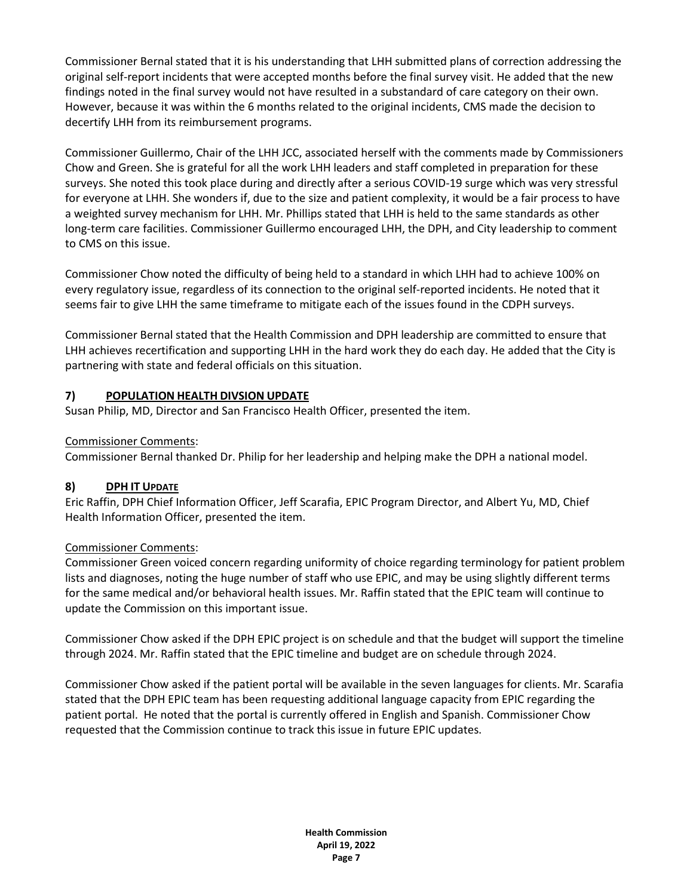Commissioner Bernal stated that it is his understanding that LHH submitted plans of correction addressing the original self-report incidents that were accepted months before the final survey visit. He added that the new findings noted in the final survey would not have resulted in a substandard of care category on their own. However, because it was within the 6 months related to the original incidents, CMS made the decision to decertify LHH from its reimbursement programs.

Commissioner Guillermo, Chair of the LHH JCC, associated herself with the comments made by Commissioners Chow and Green. She is grateful for all the work LHH leaders and staff completed in preparation for these surveys. She noted this took place during and directly after a serious COVID-19 surge which was very stressful for everyone at LHH. She wonders if, due to the size and patient complexity, it would be a fair process to have a weighted survey mechanism for LHH. Mr. Phillips stated that LHH is held to the same standards as other long-term care facilities. Commissioner Guillermo encouraged LHH, the DPH, and City leadership to comment to CMS on this issue.

Commissioner Chow noted the difficulty of being held to a standard in which LHH had to achieve 100% on every regulatory issue, regardless of its connection to the original self-reported incidents. He noted that it seems fair to give LHH the same timeframe to mitigate each of the issues found in the CDPH surveys.

Commissioner Bernal stated that the Health Commission and DPH leadership are committed to ensure that LHH achieves recertification and supporting LHH in the hard work they do each day. He added that the City is partnering with state and federal officials on this situation.

### **7) POPULATION HEALTH DIVSION UPDATE**

Susan Philip, MD, Director and San Francisco Health Officer, presented the item.

### Commissioner Comments:

Commissioner Bernal thanked Dr. Philip for her leadership and helping make the DPH a national model.

# **8) DPH IT UPDATE**

Eric Raffin, DPH Chief Information Officer, Jeff Scarafia, EPIC Program Director, and Albert Yu, MD, Chief Health Information Officer, presented the item.

### Commissioner Comments:

Commissioner Green voiced concern regarding uniformity of choice regarding terminology for patient problem lists and diagnoses, noting the huge number of staff who use EPIC, and may be using slightly different terms for the same medical and/or behavioral health issues. Mr. Raffin stated that the EPIC team will continue to update the Commission on this important issue.

Commissioner Chow asked if the DPH EPIC project is on schedule and that the budget will support the timeline through 2024. Mr. Raffin stated that the EPIC timeline and budget are on schedule through 2024.

Commissioner Chow asked if the patient portal will be available in the seven languages for clients. Mr. Scarafia stated that the DPH EPIC team has been requesting additional language capacity from EPIC regarding the patient portal. He noted that the portal is currently offered in English and Spanish. Commissioner Chow requested that the Commission continue to track this issue in future EPIC updates.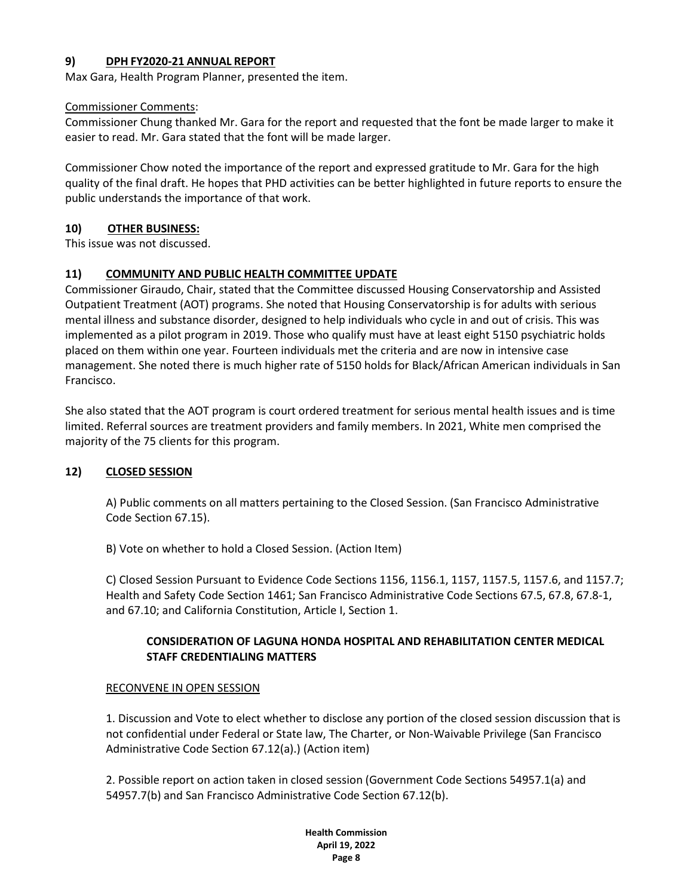### **9) DPH FY2020-21 ANNUAL REPORT**

Max Gara, Health Program Planner, presented the item.

### Commissioner Comments:

Commissioner Chung thanked Mr. Gara for the report and requested that the font be made larger to make it easier to read. Mr. Gara stated that the font will be made larger.

Commissioner Chow noted the importance of the report and expressed gratitude to Mr. Gara for the high quality of the final draft. He hopes that PHD activities can be better highlighted in future reports to ensure the public understands the importance of that work.

### **10) OTHER BUSINESS:**

This issue was not discussed.

### **11) COMMUNITY AND PUBLIC HEALTH COMMITTEE UPDATE**

Commissioner Giraudo, Chair, stated that the Committee discussed Housing Conservatorship and Assisted Outpatient Treatment (AOT) programs. She noted that Housing Conservatorship is for adults with serious mental illness and substance disorder, designed to help individuals who cycle in and out of crisis. This was implemented as a pilot program in 2019. Those who qualify must have at least eight 5150 psychiatric holds placed on them within one year. Fourteen individuals met the criteria and are now in intensive case management. She noted there is much higher rate of 5150 holds for Black/African American individuals in San Francisco.

She also stated that the AOT program is court ordered treatment for serious mental health issues and is time limited. Referral sources are treatment providers and family members. In 2021, White men comprised the majority of the 75 clients for this program.

### **12) CLOSED SESSION**

A) Public comments on all matters pertaining to the Closed Session. (San Francisco Administrative Code Section 67.15).

B) Vote on whether to hold a Closed Session. (Action Item)

C) Closed Session Pursuant to Evidence Code Sections 1156, 1156.1, 1157, 1157.5, 1157.6, and 1157.7; Health and Safety Code Section 1461; San Francisco Administrative Code Sections 67.5, 67.8, 67.8-1, and 67.10; and California Constitution, Article I, Section 1.

### **CONSIDERATION OF LAGUNA HONDA HOSPITAL AND REHABILITATION CENTER MEDICAL STAFF CREDENTIALING MATTERS**

### RECONVENE IN OPEN SESSION

1. Discussion and Vote to elect whether to disclose any portion of the closed session discussion that is not confidential under Federal or State law, The Charter, or Non-Waivable Privilege (San Francisco Administrative Code Section 67.12(a).) (Action item)

2. Possible report on action taken in closed session (Government Code Sections 54957.1(a) and 54957.7(b) and San Francisco Administrative Code Section 67.12(b).